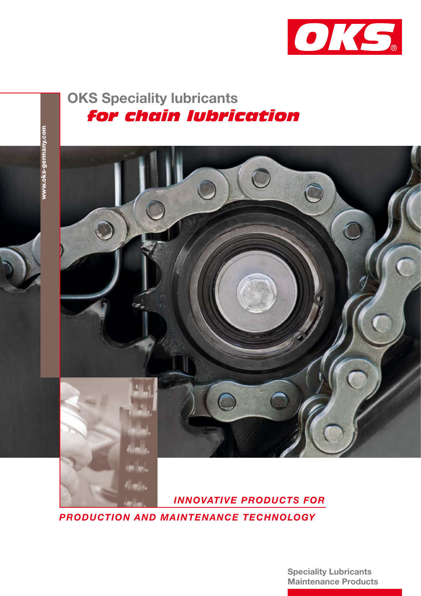

# OKS Speciality lubricants  *for chain lubrication*



 *INNOVATIVE PRODUCTS FOR* 

*PRODUCTION AND MAINTENANCE TECHNOLOGY*

timile.

Speciality Lubricants Maintenance Products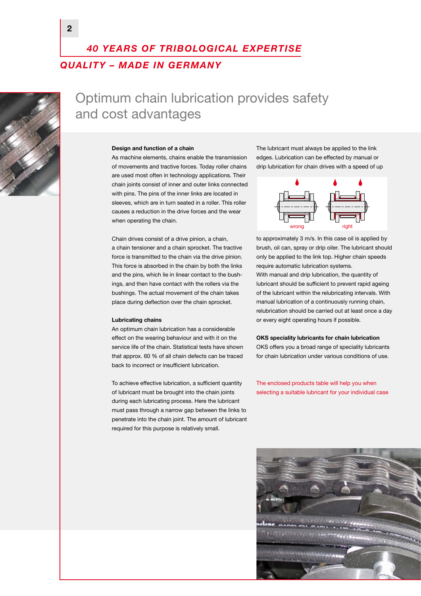## *40 YEARS OF TRIBOLOGICAL EXPERTISE QUALITY – MADE IN GERMANY*



# Optimum chain lubrication provides safety and cost advantages

#### Design and function of a chain

As machine elements, chains enable the transmission of movements and tractive forces. Today roller chains are used most often in technology applications. Their chain joints consist of inner and outer links connected with pins. The pins of the inner links are located in sleeves, which are in turn seated in a roller. This roller causes a reduction in the drive forces and the wear when operating the chain.

Chain drives consist of a drive pinion, a chain, a chain tensioner and a chain sprocket. The tractive force is transmitted to the chain via the drive pinion. This force is absorbed in the chain by both the links and the pins, which lie in linear contact to the bushings, and then have contact with the rollers via the bushings. The actual movement of the chain takes place during deflection over the chain sprocket.

### Lubricating chains

An optimum chain lubrication has a considerable effect on the wearing behaviour and with it on the service life of the chain. Statistical tests have shown that approx. 60 % of all chain defects can be traced back to incorrect or insufficient lubrication.

To achieve effective lubrication, a sufficient quantity of lubricant must be brought into the chain joints during each lubricating process. Here the lubricant must pass through a narrow gap between the links to penetrate into the chain joint. The amount of lubricant required for this purpose is relatively small.

The lubricant must always be applied to the link edges. Lubrication can be effected by manual or drip lubrication for chain drives with a speed of up



to approximately 3 m/s. In this case oil is applied by brush, oil can, spray or drip oiler. The lubricant should only be applied to the link top. Higher chain speeds require automatic lubrication systems.

With manual and drip lubrication, the quantity of lubricant should be sufficient to prevent rapid ageing of the lubricant within the relubricating intervals. With manual lubrication of a continuously running chain, relubrication should be carried out at least once a day or every eight operating hours if possible.

### OKS speciality lubricants for chain lubrication OKS offers you a broad range of speciality lubricants for chain lubrication under various conditions of use.

The enclosed products table will help you when selecting a suitable lubricant for your individual case

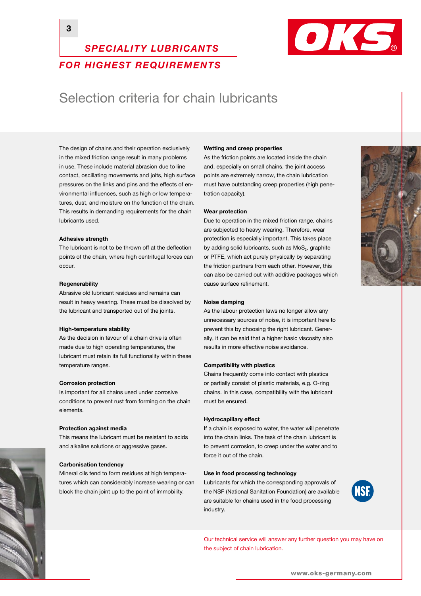

### *FOR HIGHEST REQUIREMENTS*

*SPECIALITY LUBRICANTS* 

## Selection criteria for chain lubricants

The design of chains and their operation exclusively in the mixed friction range result in many problems in use. These include material abrasion due to line contact, oscillating movements and jolts, high surface pressures on the links and pins and the effects of environmental influences, such as high or low temperatures, dust, and moisture on the function of the chain. This results in demanding requirements for the chain lubricants used.

### Adhesive strength

The lubricant is not to be thrown off at the deflection points of the chain, where high centrifugal forces can occur.

### **Regenerability**

Abrasive old lubricant residues and remains can result in heavy wearing. These must be dissolved by the lubricant and transported out of the joints.

#### High-temperature stability

As the decision in favour of a chain drive is often made due to high operating temperatures, the lubricant must retain its full functionality within these temperature ranges.

#### Corrosion protection

Is important for all chains used under corrosive conditions to prevent rust from forming on the chain elements.

#### Protection against media

This means the lubricant must be resistant to acids and alkaline solutions or aggressive gases.

#### Carbonisation tendency

Mineral oils tend to form residues at high temperatures which can considerably increase wearing or can block the chain joint up to the point of immobility.

#### Wetting and creep properties

As the friction points are located inside the chain and, especially on small chains, the joint access points are extremely narrow, the chain lubrication must have outstanding creep properties (high penetration capacity).

#### Wear protection

Due to operation in the mixed friction range, chains are subjected to heavy wearing. Therefore, wear protection is especially important. This takes place by adding solid lubricants, such as  $MoS<sub>2</sub>$ , graphite or PTFE, which act purely physically by separating the friction partners from each other. However, this can also be carried out with additive packages which cause surface refinement.

#### Noise damping

As the labour protection laws no longer allow any unnecessary sources of noise, it is important here to prevent this by choosing the right lubricant. Generally, it can be said that a higher basic viscosity also results in more effective noise avoidance.

#### Compatibility with plastics

Chains frequently come into contact with plastics or partially consist of plastic materials, e.g. O-ring chains. In this case, compatibility with the lubricant must be ensured.

#### Hydrocapillary effect

If a chain is exposed to water, the water will penetrate into the chain links. The task of the chain lubricant is to prevent corrosion, to creep under the water and to force it out of the chain.

#### Use in food processing technology

Lubricants for which the corresponding approvals of the NSF (National Sanitation Foundation) are available are suitable for chains used in the food processing industry.



Our technical service will answer any further question you may have on the subject of chain lubrication.



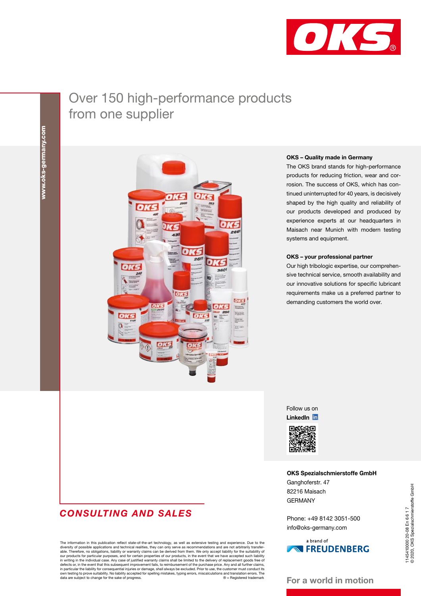

# Over 150 high-performance products from one supplier



### *CONSULTING AND SALES*

The information in this publication reflect state-of-the-art technology, as well as extensive testing and experience. Due to the diversity of possible applications and technical realities, they can only serve as recommendations and are not arbitrarily transfer-<br>able. Therefore, no obligations, liability or warranty claims can be derived from them. W defects or, in the event that this subsequent improvement fails, to reimbursement of the purchase price. Any and all further claims, in particular the liability for consequential injuries or damage, shall always be excluded. Prior to use, the customer must conduct its<br>own testing to prove suitability. No liability accepted for spelling mistakes, typing

### OKS – Quality made in Germany

The OKS brand stands for high-performance products for reducing friction, wear and corrosion. The success of OKS, which has continued uninterrupted for 40 years, is decisively shaped by the high quality and reliability of our products developed and produced by experience experts at our headquarters in Maisach near Munich with modern testing systems and equipment.

#### OKS – your professional partner

Our high tribologic expertise, our comprehensive technical service, smooth availability and our innovative solutions for specific lubricant requirements make us a preferred partner to demanding customers the world over.

Follow us on LinkedIn **in** 



OKS Spezialschmierstoffe GmbH

Ganghoferstr. 47 82216 Maisach GERMANY

Phone: +49 8142 3051-500 info@oks-germany.com

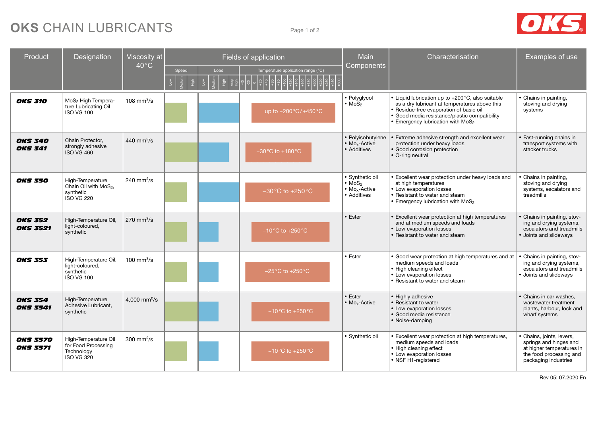# **OKS** CHAIN LUBRICANTS Page 1 of 2



| Product                            | Designation                                                                             | <b>Viscosity</b> at         | Fields of application |      |                                                     | <b>Main</b>                                                                               | Characterisation                                                                                                                                                                                                                    | Examples of use                                                                                                                     |
|------------------------------------|-----------------------------------------------------------------------------------------|-----------------------------|-----------------------|------|-----------------------------------------------------|-------------------------------------------------------------------------------------------|-------------------------------------------------------------------------------------------------------------------------------------------------------------------------------------------------------------------------------------|-------------------------------------------------------------------------------------------------------------------------------------|
|                                    |                                                                                         | $40^{\circ}$ C              | Speed                 | Load | Temperature application range (°C)                  | Components                                                                                |                                                                                                                                                                                                                                     |                                                                                                                                     |
| <b>OKS 310</b>                     | MoS <sub>2</sub> High Tempera-<br>ture Lubricating Oil<br><b>ISO VG 100</b>             | $108 \text{ mm}^2/\text{s}$ |                       |      | up to $+200\degree C/+450\degree C$                 | • Polyglycol<br>$\bullet$ MoS <sub>2</sub>                                                | • Liquid lubrication up to +200 °C, also suitable<br>as a dry lubricant at temperatures above this<br>• Residue-free evaporation of basic oil<br>· Good media resistance/plastic compatibility<br>• Emergency lubrication with MoS2 | • Chains in painting,<br>stoving and drying<br>systems                                                                              |
| <b>OKS 340</b><br><b>OKS 341</b>   | Chain Protector.<br>strongly adhesive<br><b>ISO VG 460</b>                              | 440 mm <sup>2</sup> /s      |                       |      | $-30^{\circ}$ C to $+180^{\circ}$ C                 | • Polyisobutylene<br>• Mo <sub>x</sub> -Active<br>• Additives                             | • Extreme adhesive strength and excellent wear<br>protection under heavy loads<br>• Good corrosion protection<br>• O-ring neutral                                                                                                   | • Fast-running chains in<br>transport systems with<br>stacker trucks                                                                |
| <b>OKS 350</b>                     | High-Temperature<br>Chain Oil with MoS <sub>2</sub> ,<br>synthetic<br><b>ISO VG 220</b> | 240 mm <sup>2</sup> /s      |                       |      | $-30^{\circ}$ C to $+250^{\circ}$ C                 | • Synthetic oil<br>$\bullet$ MoS <sub>2</sub><br>• Mo <sub>x</sub> -Active<br>• Additives | • Excellent wear protection under heavy loads and<br>at high temperatures<br>• Low evaporation losses<br>• Resistant to water and steam<br>• Emergency lubrication with MoS <sub>2</sub>                                            | • Chains in painting,<br>stoving and drying<br>systems, escalators and<br>treadmills                                                |
| <b>OKS 352</b><br><b>OKS 3521</b>  | High-Temperature Oil,<br>light-coloured,<br>synthetic                                   | $270$ mm <sup>2</sup> /s    |                       |      | $-10\,^{\circ}\text{C}$ to $+250\,^{\circ}\text{C}$ | • Ester                                                                                   | • Excellent wear protection at high temperatures<br>and at medium speeds and loads<br>• Low evaporation losses<br>• Resistant to water and steam                                                                                    | • Chains in painting, stov-<br>ing and drying systems,<br>escalators and treadmills<br>• Joints and slideways                       |
| <b>OKS 353</b>                     | High-Temperature Oil,<br>light-coloured,<br>synthetic<br><b>ISO VG 100</b>              | 100 mm <sup>2</sup> /s      |                       |      | $-25^{\circ}$ C to $+250^{\circ}$ C                 | • Ester                                                                                   | • Good wear protection at high temperatures and at<br>medium speeds and loads<br>• High cleaning effect<br>• Low evaporation losses<br>• Resistant to water and steam                                                               | • Chains in painting, stov-<br>ing and drying systems,<br>escalators and treadmills<br>• Joints and slideways                       |
| <b>OKS 354</b><br><b>OKS 3541</b>  | High-Temperature<br>Adhesive Lubricant,<br>synthetic                                    | 4.000 mm <sup>2</sup> /s    |                       |      | $-10^{\circ}$ C to $+250^{\circ}$ C                 | • Ester<br>• Mo <sub>x</sub> -Active                                                      | • Highly adhesive<br>• Resistant to water<br>• Low evaporation losses<br>· Good media resistance<br>• Noise-damping                                                                                                                 | • Chains in car washes.<br>wastewater treatment<br>plants, harbour, lock and<br>wharf systems                                       |
| <b>OKS 3570</b><br><b>OKS 3571</b> | High-Temperature Oil<br>for Food Processing<br>Technology<br><b>ISO VG 320</b>          | $300 \text{ mm}^2/\text{s}$ |                       |      | $-10\,^{\circ}\text{C}$ to $+250\,^{\circ}\text{C}$ | • Synthetic oil                                                                           | • Excellent wear protection at high temperatures,<br>medium speeds and loads<br>• High cleaning effect<br>• Low evaporation losses<br>• NSF H1-registered                                                                           | • Chains, joints, levers,<br>springs and hinges and<br>at higher temperatures in<br>the food processing and<br>packaging industries |